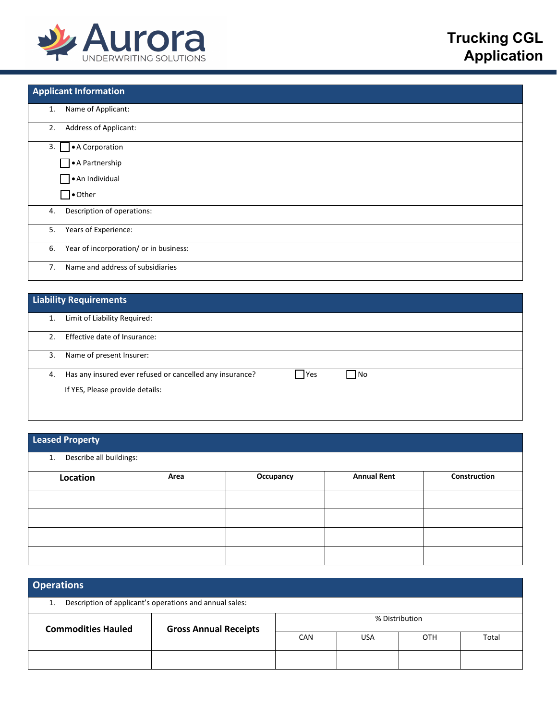

| <b>Applicant Information</b> |                                        |
|------------------------------|----------------------------------------|
| 1.                           | Name of Applicant:                     |
| 2.                           | <b>Address of Applicant:</b>           |
| 3. A Corporation             |                                        |
|                              | $\Box \bullet$ A Partnership           |
|                              | An Individual                          |
| $\Box\bullet$ Other          |                                        |
| 4.                           | Description of operations:             |
| 5.                           | Years of Experience:                   |
| 6.                           | Year of incorporation/ or in business: |
| 7 <sub>1</sub>               | Name and address of subsidiaries       |

|     | <b>Liability Requirements</b>                                                  |  |  |  |  |
|-----|--------------------------------------------------------------------------------|--|--|--|--|
|     | Limit of Liability Required:                                                   |  |  |  |  |
| 2.5 | Effective date of Insurance:                                                   |  |  |  |  |
| 3.  | Name of present Insurer:                                                       |  |  |  |  |
| 4.  | Has any insured ever refused or cancelled any insurance?<br><b>P</b> es<br>¶No |  |  |  |  |
|     | If YES, Please provide details:                                                |  |  |  |  |

## **Leased Property**

| 1. Describe all buildings: |      |           |                    |              |  |
|----------------------------|------|-----------|--------------------|--------------|--|
| Location                   | Area | Occupancy | <b>Annual Rent</b> | Construction |  |
|                            |      |           |                    |              |  |
|                            |      |           |                    |              |  |
|                            |      |           |                    |              |  |
|                            |      |           |                    |              |  |

| <b>Operations</b>                                             |                              |                                        |       |  |  |
|---------------------------------------------------------------|------------------------------|----------------------------------------|-------|--|--|
| Description of applicant's operations and annual sales:<br>1. |                              |                                        |       |  |  |
| <b>Commodities Hauled</b>                                     | <b>Gross Annual Receipts</b> | % Distribution                         |       |  |  |
|                                                               |                              | <b>CAN</b><br><b>USA</b><br><b>OTH</b> | Total |  |  |
|                                                               |                              |                                        |       |  |  |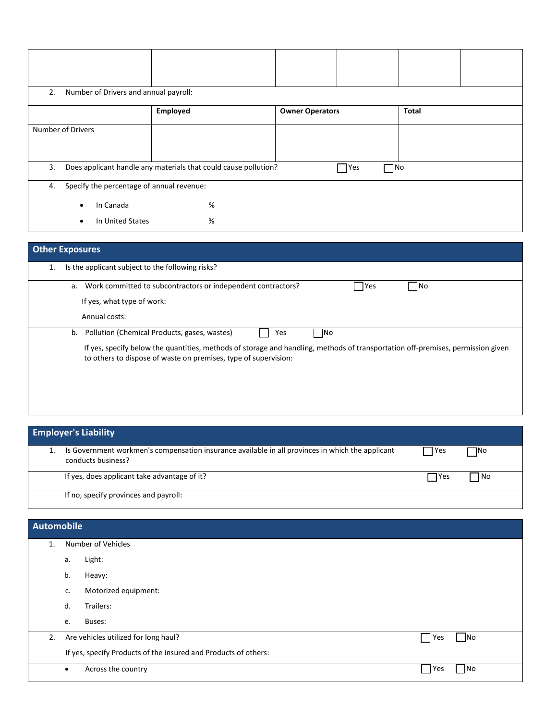| 2.                                              | Number of Drivers and annual payroll:                                                         |          |                        |  |              |  |
|-------------------------------------------------|-----------------------------------------------------------------------------------------------|----------|------------------------|--|--------------|--|
|                                                 |                                                                                               | Employed | <b>Owner Operators</b> |  | <b>Total</b> |  |
| Number of Drivers                               |                                                                                               |          |                        |  |              |  |
|                                                 |                                                                                               |          |                        |  |              |  |
| 3.                                              | Does applicant handle any materials that could cause pollution?<br>$\Box$ No<br>$\bigcap$ Yes |          |                        |  |              |  |
| Specify the percentage of annual revenue:<br>4. |                                                                                               |          |                        |  |              |  |
|                                                 | In Canada<br>$\bullet$                                                                        | %        |                        |  |              |  |
|                                                 | In United States<br>٠                                                                         | %        |                        |  |              |  |

# **Other Exposures** 1. Is the applicant subject to the following risks? a. Work committed to subcontractors or independent contractors? <br>
No If yes, what type of work: Annual costs: b. Pollution (Chemical Products, gases, wastes) The Yes No If yes, specify below the quantities, methods of storage and handling, methods of transportation off-premises, permission given to others to dispose of waste on premises, type of supervision:

| <b>Employer's Liability</b> |                                                                                                                        |             |           |  |  |
|-----------------------------|------------------------------------------------------------------------------------------------------------------------|-------------|-----------|--|--|
|                             | Is Government workmen's compensation insurance available in all provinces in which the applicant<br>conducts business? | 7 Yes       | $\Box$ No |  |  |
|                             | If yes, does applicant take advantage of it?                                                                           | <b>TYes</b> | No        |  |  |
|                             | If no, specify provinces and payroll:                                                                                  |             |           |  |  |

#### **Automobile**

| 1. |                                                                 | Number of Vehicles                   |       |           |
|----|-----------------------------------------------------------------|--------------------------------------|-------|-----------|
|    | a.                                                              | Light:                               |       |           |
|    | b.                                                              | Heavy:                               |       |           |
|    | c.                                                              | Motorized equipment:                 |       |           |
|    | d.                                                              | Trailers:                            |       |           |
|    | e.                                                              | Buses:                               |       |           |
| 2. |                                                                 | Are vehicles utilized for long haul? | l Yes | $\Box$ No |
|    | If yes, specify Products of the insured and Products of others: |                                      |       |           |
|    | $\bullet$                                                       | Across the country                   | l Yes | <b>No</b> |